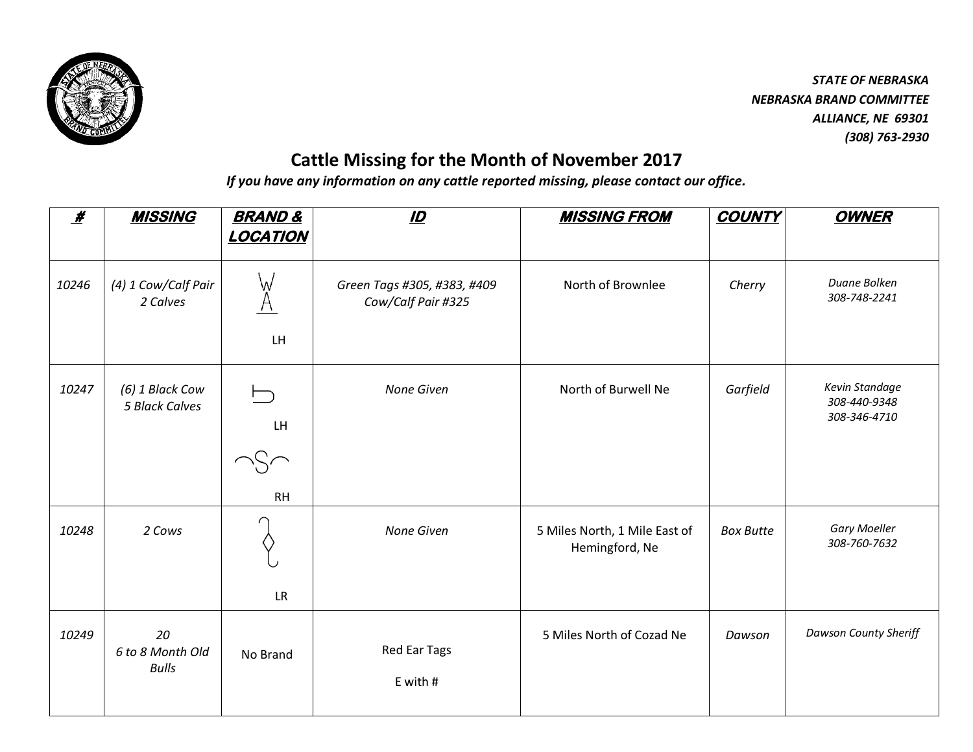

## **Cattle Missing for the Month of November 2017**

*If you have any information on any cattle reported missing, please contact our office.*

| $\boldsymbol{\mathscr{H}}$ | <b>MISSING</b>                           | <b>BRAND &amp;</b><br><b>LOCATION</b> | $\mathbf{D}$                                      | <b>MISSING FROM</b>                             | <b>COUNTY</b>    | <b>OWNER</b>                                   |
|----------------------------|------------------------------------------|---------------------------------------|---------------------------------------------------|-------------------------------------------------|------------------|------------------------------------------------|
| 10246                      | (4) 1 Cow/Calf Pair<br>2 Calves          | W<br><b>LH</b>                        | Green Tags #305, #383, #409<br>Cow/Calf Pair #325 | North of Brownlee                               | Cherry           | Duane Bolken<br>308-748-2241                   |
| 10247                      | (6) 1 Black Cow<br><b>5 Black Calves</b> | LH.<br><b>RH</b>                      | None Given                                        | North of Burwell Ne                             | Garfield         | Kevin Standage<br>308-440-9348<br>308-346-4710 |
| 10248                      | 2 Cows                                   | <b>LR</b>                             | None Given                                        | 5 Miles North, 1 Mile East of<br>Hemingford, Ne | <b>Box Butte</b> | <b>Gary Moeller</b><br>308-760-7632            |
| 10249                      | 20<br>6 to 8 Month Old<br><b>Bulls</b>   | No Brand                              | Red Ear Tags<br>E with #                          | 5 Miles North of Cozad Ne                       | Dawson           | <b>Dawson County Sheriff</b>                   |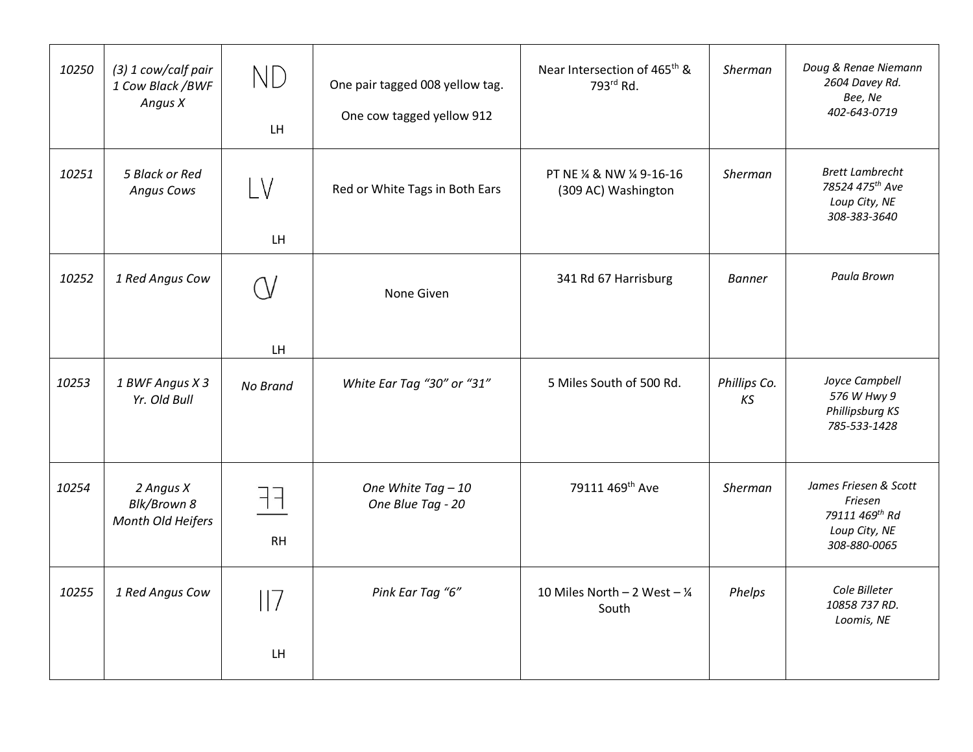| 10250 | (3) 1 cow/calf pair<br>1 Cow Black / BWF<br>Angus X | ND<br>LH        | One pair tagged 008 yellow tag.<br>One cow tagged yellow 912 | Near Intersection of 465 <sup>th</sup> &<br>793rd Rd. | Sherman            | Doug & Renae Niemann<br>2604 Davey Rd.<br>Bee, Ne<br>402-643-0719                   |
|-------|-----------------------------------------------------|-----------------|--------------------------------------------------------------|-------------------------------------------------------|--------------------|-------------------------------------------------------------------------------------|
| 10251 | 5 Black or Red<br><b>Angus Cows</b>                 | LV<br>LH        | Red or White Tags in Both Ears                               | PT NE % & NW % 9-16-16<br>(309 AC) Washington         | Sherman            | <b>Brett Lambrecht</b><br>78524 475th Ave<br>Loup City, NE<br>308-383-3640          |
| 10252 | 1 Red Angus Cow                                     | LH              | None Given                                                   | 341 Rd 67 Harrisburg                                  | <b>Banner</b>      | Paula Brown                                                                         |
| 10253 | 1 BWF Angus X 3<br>Yr. Old Bull                     | No Brand        | White Ear Tag "30" or "31"                                   | 5 Miles South of 500 Rd.                              | Phillips Co.<br>KS | Joyce Campbell<br>576 W Hwy 9<br>Phillipsburg KS<br>785-533-1428                    |
| 10254 | 2 Angus X<br>Blk/Brown 8<br>Month Old Heifers       | ┥┥<br><b>RH</b> | One White Tag - 10<br>One Blue Tag - 20                      | 79111 469th Ave                                       | Sherman            | James Friesen & Scott<br>Friesen<br>79111 469th Rd<br>Loup City, NE<br>308-880-0065 |
| 10255 | 1 Red Angus Cow                                     | 7<br>LH         | Pink Ear Tag "6"                                             | 10 Miles North - 2 West - $\frac{1}{4}$<br>South      | Phelps             | Cole Billeter<br>10858 737 RD.<br>Loomis, NE                                        |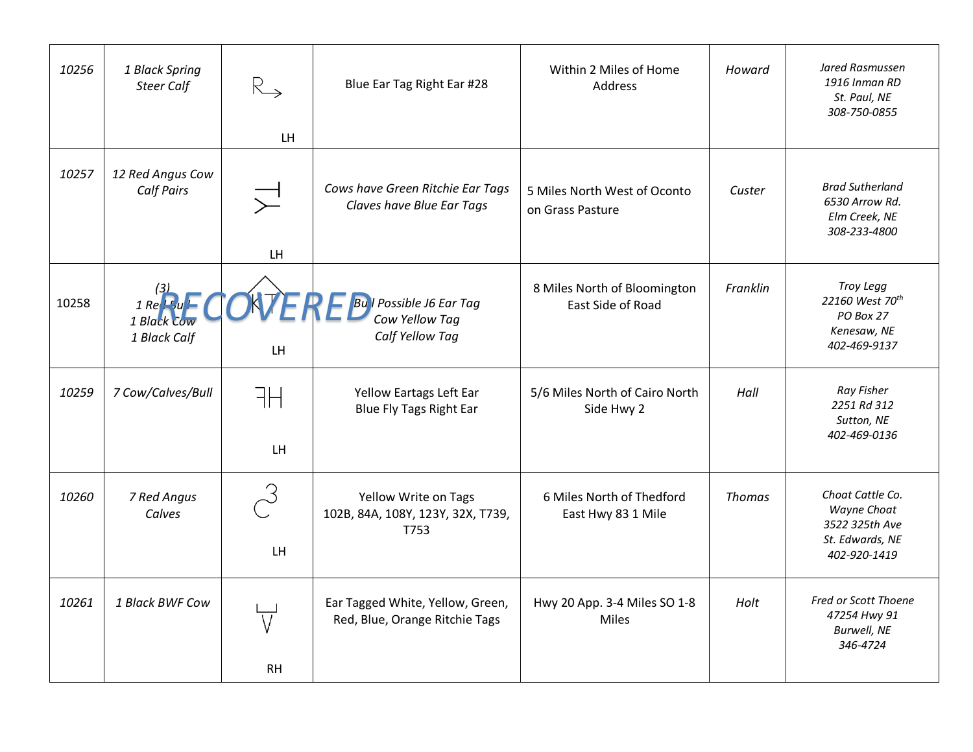| 10256 | 1 Black Spring<br><b>Steer Calf</b>                               | $R_{\rightarrow}$<br><b>LH</b>     | Blue Ear Tag Right Ear #28                                         | Within 2 Miles of Home<br>Address                 | Howard        | Jared Rasmussen<br>1916 Inman RD<br>St. Paul, NE<br>308-750-0855                     |
|-------|-------------------------------------------------------------------|------------------------------------|--------------------------------------------------------------------|---------------------------------------------------|---------------|--------------------------------------------------------------------------------------|
| 10257 | 12 Red Angus Cow<br><b>Calf Pairs</b>                             | $\overline{\searrow}$<br><b>LH</b> | Cows have Green Ritchie Ear Tags<br>Claves have Blue Ear Tags      | 5 Miles North West of Oconto<br>on Grass Pasture  | Custer        | <b>Brad Sutherland</b><br>6530 Arrow Rd.<br>Elm Creek, NE<br>308-233-4800            |
| 10258 | $\frac{(3)}{1}$ Re $\frac{1}{2}$ u<br>1 Black Cow<br>1 Black Calf | LH                                 | ERE Bull Possible J6 Ear Tag<br>Cow Yellow Tag<br>Calf Yellow Tag  | 8 Miles North of Bloomington<br>East Side of Road | Franklin      | Troy Legg<br>22160 West 70 <sup>th</sup><br>PO Box 27<br>Kenesaw, NE<br>402-469-9137 |
| 10259 | 7 Cow/Calves/Bull                                                 | FН<br>LH.                          | Yellow Eartags Left Ear<br><b>Blue Fly Tags Right Ear</b>          | 5/6 Miles North of Cairo North<br>Side Hwy 2      | Hall          | Ray Fisher<br>2251 Rd 312<br>Sutton, NE<br>402-469-0136                              |
| 10260 | 7 Red Angus<br>Calves                                             | $\sim$<br>LH.                      | Yellow Write on Tags<br>102B, 84A, 108Y, 123Y, 32X, T739,<br>T753  | 6 Miles North of Thedford<br>East Hwy 83 1 Mile   | <b>Thomas</b> | Choat Cattle Co.<br>Wayne Choat<br>3522 325th Ave<br>St. Edwards, NE<br>402-920-1419 |
| 10261 | 1 Black BWF Cow                                                   | <b>RH</b>                          | Ear Tagged White, Yellow, Green,<br>Red, Blue, Orange Ritchie Tags | Hwy 20 App. 3-4 Miles SO 1-8<br><b>Miles</b>      | Holt          | Fred or Scott Thoene<br>47254 Hwy 91<br><b>Burwell, NE</b><br>346-4724               |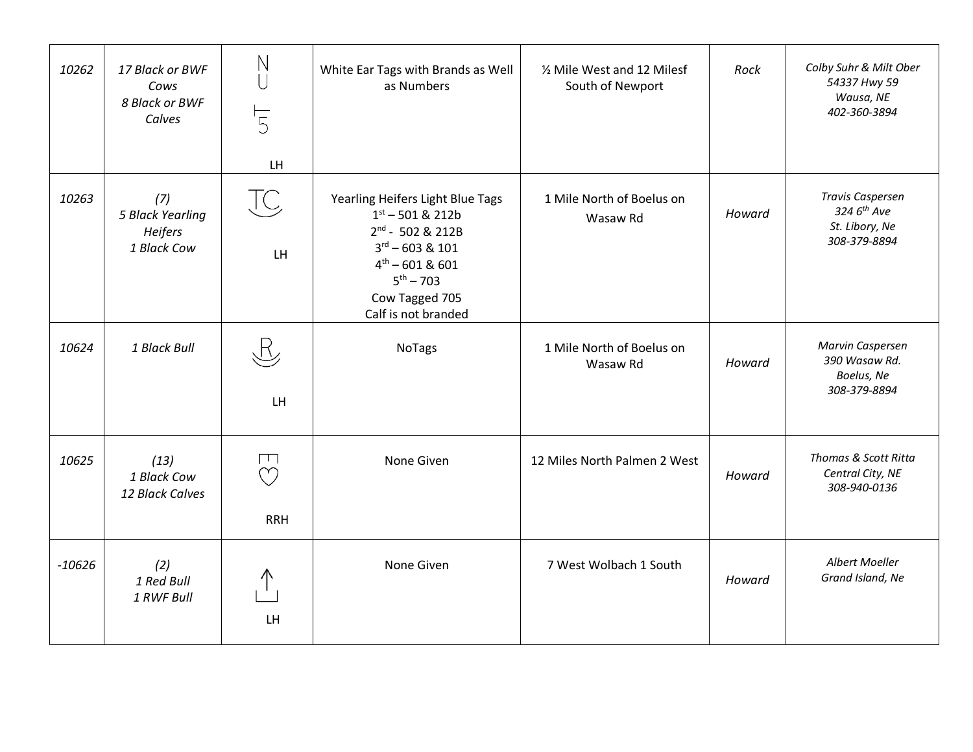| 10262    | 17 Black or BWF<br>Cows<br>8 Black or BWF<br>Calves | $\mathbb N$<br>$\overline{5}$<br>LH  | White Ear Tags with Brands as Well<br>as Numbers                                                                                                                                                    | 1/2 Mile West and 12 Milesf<br>South of Newport | Rock   | Colby Suhr & Milt Ober<br>54337 Hwy 59<br>Wausa, NE<br>402-360-3894                  |
|----------|-----------------------------------------------------|--------------------------------------|-----------------------------------------------------------------------------------------------------------------------------------------------------------------------------------------------------|-------------------------------------------------|--------|--------------------------------------------------------------------------------------|
| 10263    | (7)<br>5 Black Yearling<br>Heifers<br>1 Black Cow   | JC<br>LH                             | Yearling Heifers Light Blue Tags<br>$1st - 501$ & 212b<br>2nd - 502 & 212B<br>$3^{\text{rd}} - 603$ & 101<br>$4^{\text{th}} - 601$ & 601<br>$5^{th} - 703$<br>Cow Tagged 705<br>Calf is not branded | 1 Mile North of Boelus on<br>Wasaw Rd           | Howard | <b>Travis Caspersen</b><br>324 6 <sup>th</sup> Ave<br>St. Libory, Ne<br>308-379-8894 |
| 10624    | 1 Black Bull                                        | $\mathbb{R}$<br>LH <sub></sub>       | <b>NoTags</b>                                                                                                                                                                                       | 1 Mile North of Boelus on<br>Wasaw Rd           | Howard | Marvin Caspersen<br>390 Wasaw Rd.<br>Boelus, Ne<br>308-379-8894                      |
| 10625    | (13)<br>1 Black Cow<br>12 Black Calves              | $\Box$<br>$\heartsuit$<br><b>RRH</b> | None Given                                                                                                                                                                                          | 12 Miles North Palmen 2 West                    | Howard | Thomas & Scott Ritta<br>Central City, NE<br>308-940-0136                             |
| $-10626$ | (2)<br>1 Red Bull<br>1 RWF Bull                     | LH                                   | None Given                                                                                                                                                                                          | 7 West Wolbach 1 South                          | Howard | Albert Moeller<br>Grand Island, Ne                                                   |